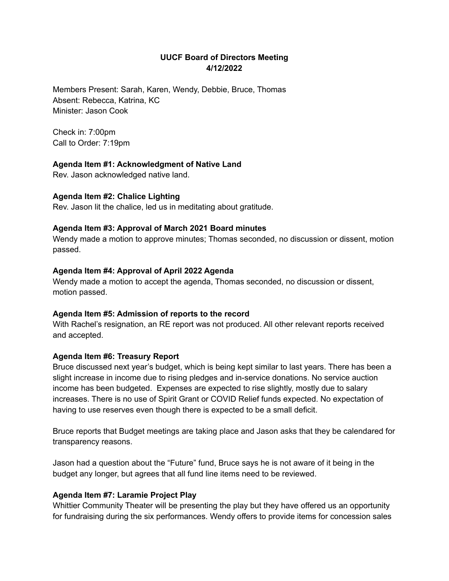## **UUCF Board of Directors Meeting 4/12/2022**

Members Present: Sarah, Karen, Wendy, Debbie, Bruce, Thomas Absent: Rebecca, Katrina, KC Minister: Jason Cook

Check in: 7:00pm Call to Order: 7:19pm

#### **Agenda Item #1: Acknowledgment of Native Land**

Rev. Jason acknowledged native land.

### **Agenda Item #2: Chalice Lighting**

Rev. Jason lit the chalice, led us in meditating about gratitude.

#### **Agenda Item #3: Approval of March 2021 Board minutes**

Wendy made a motion to approve minutes; Thomas seconded, no discussion or dissent, motion passed.

### **Agenda Item #4: Approval of April 2022 Agenda**

Wendy made a motion to accept the agenda, Thomas seconded, no discussion or dissent, motion passed.

#### **Agenda Item #5: Admission of reports to the record**

With Rachel's resignation, an RE report was not produced. All other relevant reports received and accepted.

#### **Agenda Item #6: Treasury Report**

Bruce discussed next year's budget, which is being kept similar to last years. There has been a slight increase in income due to rising pledges and in-service donations. No service auction income has been budgeted. Expenses are expected to rise slightly, mostly due to salary increases. There is no use of Spirit Grant or COVID Relief funds expected. No expectation of having to use reserves even though there is expected to be a small deficit.

Bruce reports that Budget meetings are taking place and Jason asks that they be calendared for transparency reasons.

Jason had a question about the "Future" fund, Bruce says he is not aware of it being in the budget any longer, but agrees that all fund line items need to be reviewed.

#### **Agenda Item #7: Laramie Project Play**

Whittier Community Theater will be presenting the play but they have offered us an opportunity for fundraising during the six performances. Wendy offers to provide items for concession sales